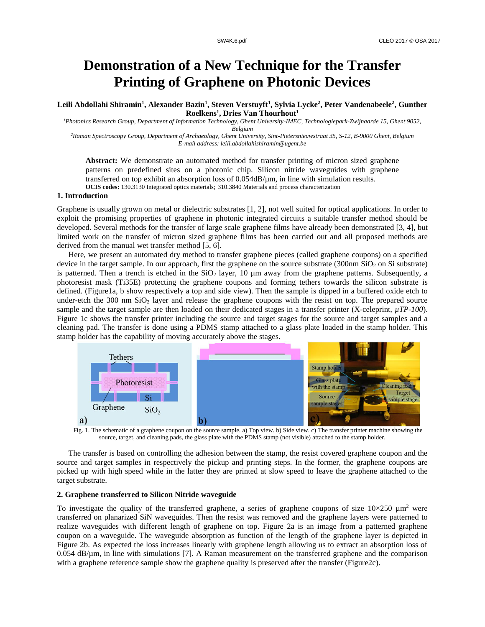# **Demonstration of a New Technique for the Transfer Printing of Graphene on Photonic Devices**

**Leili Abdollahi Shiramin<sup>1</sup> , Alexander Bazin<sup>1</sup> , Steven Verstuyft<sup>1</sup> , Sylvia Lycke<sup>2</sup> , Peter Vandenabeele<sup>2</sup> , Gunther Roelkens<sup>1</sup> , Dries Van Thourhout<sup>1</sup>**

*<sup>1</sup>Photonics Research Group, Department of Information Technology, Ghent University-IMEC, Technologiepark-Zwijnaarde 15, Ghent 9052,* 

*Belgium*

*<sup>2</sup>Raman Spectroscopy Group, Department of Archaeology, Ghent University, Sint-Pietersnieuwstraat 35, S-12, B-9000 Ghent, Belgium E-mail address: leili.abdollahishiramin@ugent.be*

**Abstract:** We demonstrate an automated method for transfer printing of micron sized graphene patterns on predefined sites on a photonic chip. Silicon nitride waveguides with graphene transferred on top exhibit an absorption loss of 0.054dB/µm, in line with simulation results. **OCIS codes:** 130.3130 Integrated optics materials; 310.3840 Materials and process characterization

#### **1. Introduction**

Graphene is usually grown on metal or dielectric substrates [1, 2], not well suited for optical applications. In order to exploit the promising properties of graphene in photonic integrated circuits a suitable transfer method should be developed. Several methods for the transfer of large scale graphene films have already been demonstrated [3, 4], but limited work on the transfer of micron sized graphene films has been carried out and all proposed methods are derived from the manual wet transfer method [5, 6].

Here, we present an automated dry method to transfer graphene pieces (called graphene coupons) on a specified device in the target sample. In our approach, first the graphene on the source substrate  $(300nm \text{ SiQ}_2 \text{ on } \text{Si} \text{ substrate})$ is patterned. Then a trench is etched in the  $SiO<sub>2</sub>$  layer, 10  $\mu$ m away from the graphene patterns. Subsequently, a photoresist mask (Ti35E) protecting the graphene coupons and forming tethers towards the silicon substrate is defined. (Figure1a, b show respectively a top and side view). Then the sample is dipped in a buffered oxide etch to under-etch the 300 nm SiO<sub>2</sub> layer and release the graphene coupons with the resist on top. The prepared source sample and the target sample are then loaded on their dedicated stages in a transfer printer (X-celeprint,  $\mu T$ P-100). Figure 1c shows the transfer printer including the source and target stages for the source and target samples and a cleaning pad. The transfer is done using a PDMS stamp attached to a glass plate loaded in the stamp holder. This stamp holder has the capability of moving accurately above the stages.



Fig. 1. The schematic of a graphene coupon on the source sample. a) Top view. b) Side view. c) The transfer printer machine showing the source, target, and cleaning pads, the glass plate with the PDMS stamp (not visible) attached to the stamp holder.

The transfer is based on controlling the adhesion between the stamp, the resist covered graphene coupon and the source and target samples in respectively the pickup and printing steps. In the former, the graphene coupons are picked up with high speed while in the latter they are printed at slow speed to leave the graphene attached to the target substrate.

## **2. Graphene transferred to Silicon Nitride waveguide**

To investigate the quality of the transferred graphene, a series of graphene coupons of size  $10\times250 \mu m^2$  were transferred on planarized SiN waveguides. Then the resist was removed and the graphene layers were patterned to realize waveguides with different length of graphene on top. Figure 2a is an image from a patterned graphene coupon on a waveguide. The waveguide absorption as function of the length of the graphene layer is depicted in Figure 2b. As expected the loss increases linearly with graphene length allowing us to extract an absorption loss of 0.054 dB/µm, in line with simulations [7]. A Raman measurement on the transferred graphene and the comparison with a graphene reference sample show the graphene quality is preserved after the transfer (Figure2c).